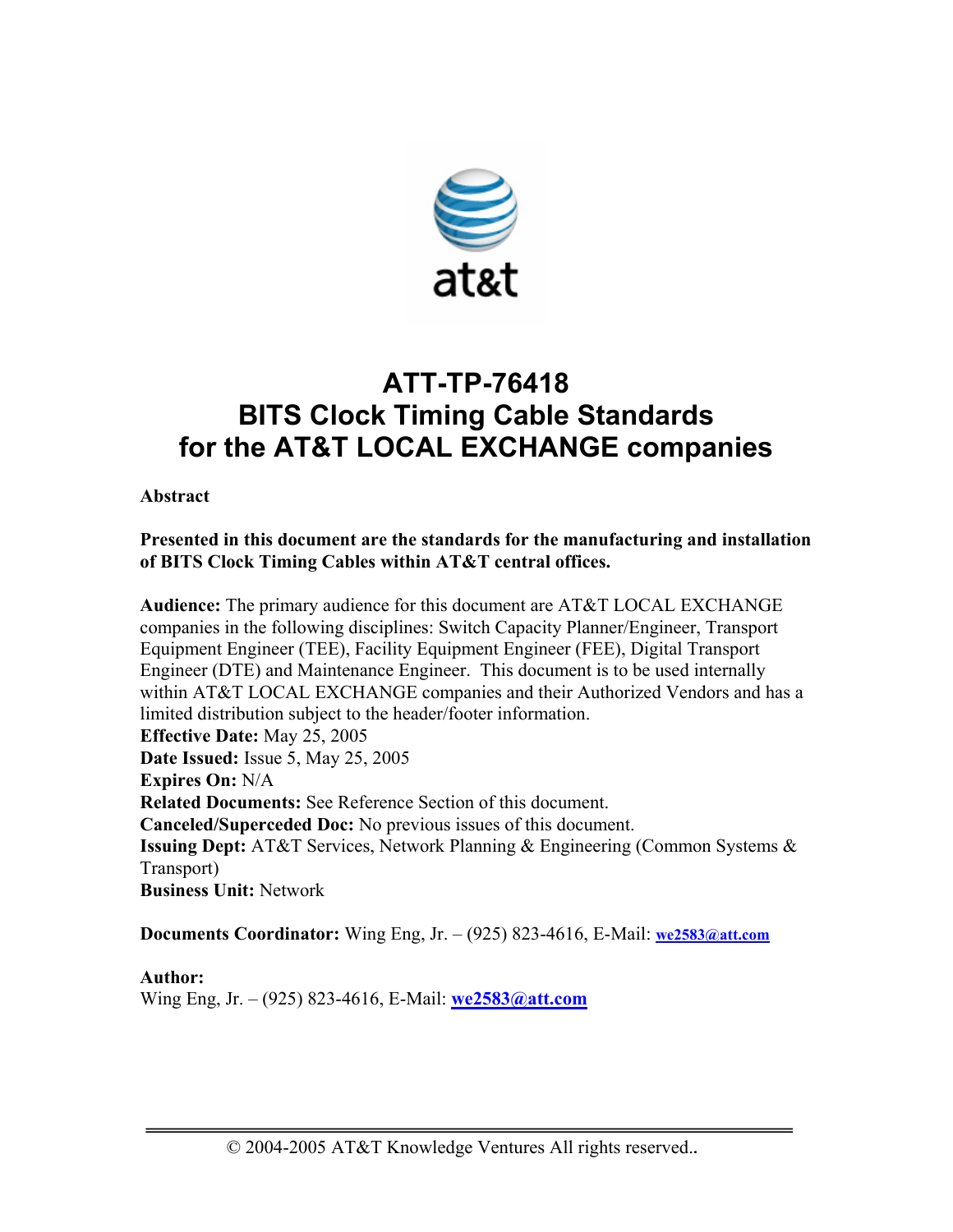

# **ATT-TP-76418 BITS Clock Timing Cable Standards for the AT&T LOCAL EXCHANGE companies**

**Abstract** 

**Presented in this document are the standards for the manufacturing and installation of BITS Clock Timing Cables within AT&T central offices.** 

**Audience:** The primary audience for this document are AT&T LOCAL EXCHANGE companies in the following disciplines: Switch Capacity Planner/Engineer, Transport Equipment Engineer (TEE), Facility Equipment Engineer (FEE), Digital Transport Engineer (DTE) and Maintenance Engineer. This document is to be used internally within AT&T LOCAL EXCHANGE companies and their Authorized Vendors and has a limited distribution subject to the header/footer information. **Effective Date:** May 25, 2005 **Date Issued:** Issue 5, May 25, 2005 **Expires On:** N/A **Related Documents:** See Reference Section of this document. **Canceled/Superceded Doc:** No previous issues of this document. **Issuing Dept:** AT&T Services, Network Planning & Engineering (Common Systems & Transport) **Business Unit:** Network

**Documents Coordinator:** Wing Eng, Jr. – (925) 823-4616, E-Mail: **we2583@att.com**

**Author:** 

Wing Eng, Jr. – (925) 823-4616, E-Mail: **we2583@att.com**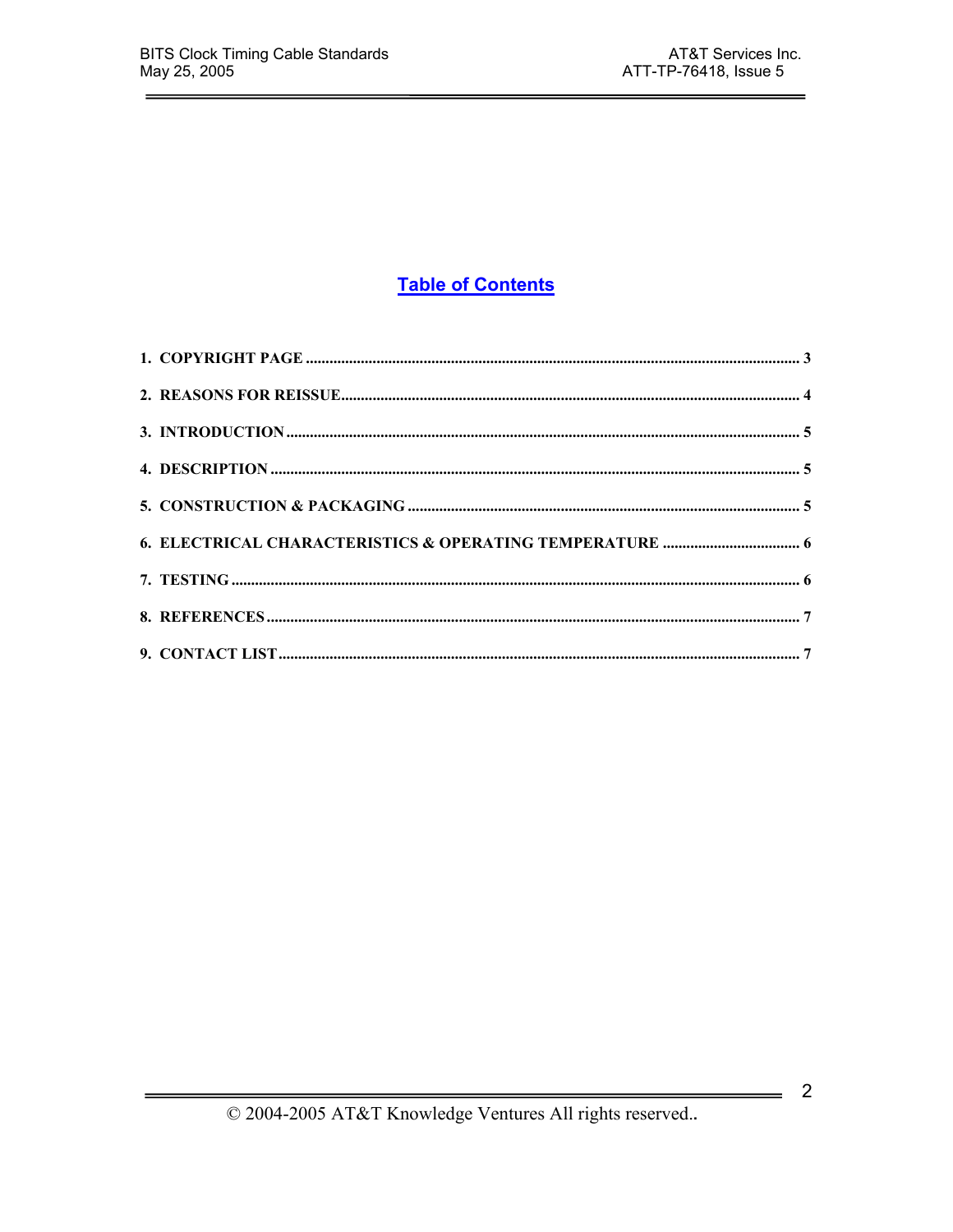# **Table of Contents**

 $\frac{1}{\sqrt{2}}$  2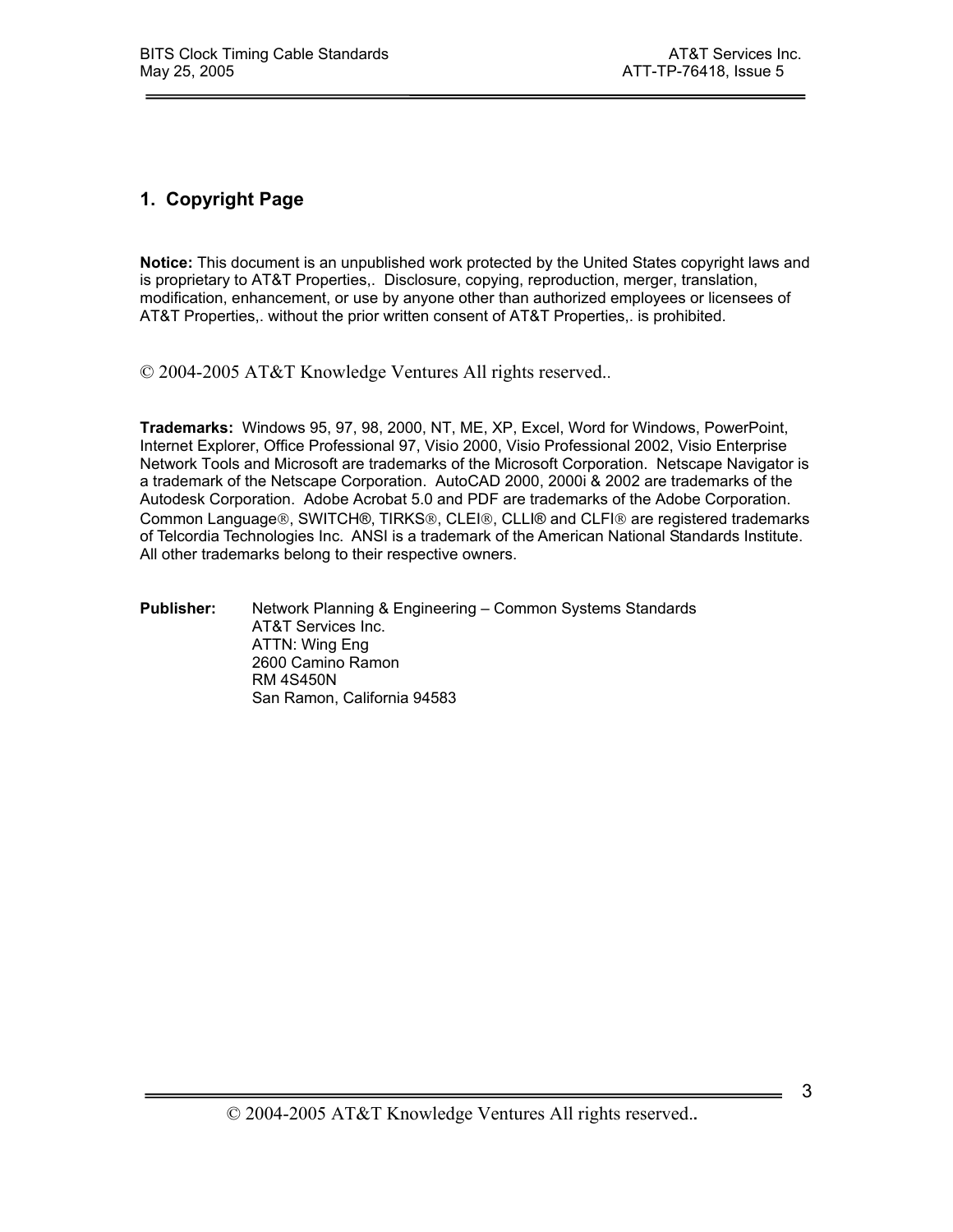# **1. Copyright Page**

**Notice:** This document is an unpublished work protected by the United States copyright laws and is proprietary to AT&T Properties,. Disclosure, copying, reproduction, merger, translation, modification, enhancement, or use by anyone other than authorized employees or licensees of AT&T Properties,. without the prior written consent of AT&T Properties,. is prohibited.

© 2004-2005 AT&T Knowledge Ventures All rights reserved..

**Trademarks:** Windows 95, 97, 98, 2000, NT, ME, XP, Excel, Word for Windows, PowerPoint, Internet Explorer, Office Professional 97, Visio 2000, Visio Professional 2002, Visio Enterprise Network Tools and Microsoft are trademarks of the Microsoft Corporation. Netscape Navigator is a trademark of the Netscape Corporation. AutoCAD 2000, 2000i & 2002 are trademarks of the Autodesk Corporation. Adobe Acrobat 5.0 and PDF are trademarks of the Adobe Corporation. Common Language®, SWITCH®, TIRKS®, CLEI®, CLLI® and CLFI® are registered trademarks of Telcordia Technologies Inc. ANSI is a trademark of the American National Standards Institute. All other trademarks belong to their respective owners.

**Publisher:** Network Planning & Engineering – Common Systems Standards AT&T Services Inc. ATTN: Wing Eng 2600 Camino Ramon RM 4S450N San Ramon, California 94583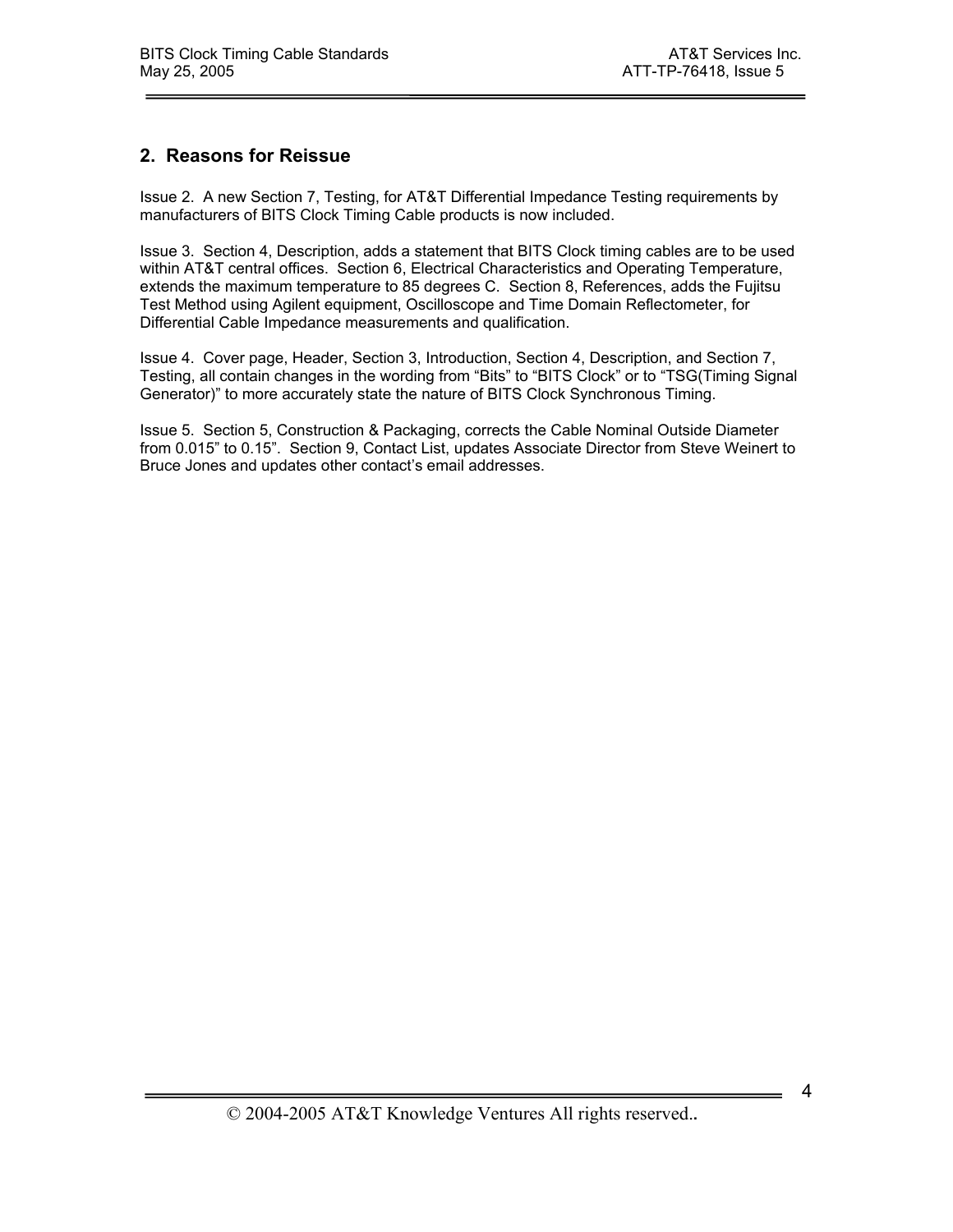#### **2. Reasons for Reissue**

Issue 2. A new Section 7, Testing, for AT&T Differential Impedance Testing requirements by manufacturers of BITS Clock Timing Cable products is now included.

Issue 3. Section 4, Description, adds a statement that BITS Clock timing cables are to be used within AT&T central offices. Section 6, Electrical Characteristics and Operating Temperature, extends the maximum temperature to 85 degrees C. Section 8, References, adds the Fujitsu Test Method using Agilent equipment, Oscilloscope and Time Domain Reflectometer, for Differential Cable Impedance measurements and qualification.

Issue 4. Cover page, Header, Section 3, Introduction, Section 4, Description, and Section 7, Testing, all contain changes in the wording from "Bits" to "BITS Clock" or to "TSG(Timing Signal Generator)" to more accurately state the nature of BITS Clock Synchronous Timing.

Issue 5. Section 5, Construction & Packaging, corrects the Cable Nominal Outside Diameter from 0.015" to 0.15". Section 9, Contact List, updates Associate Director from Steve Weinert to Bruce Jones and updates other contact's email addresses.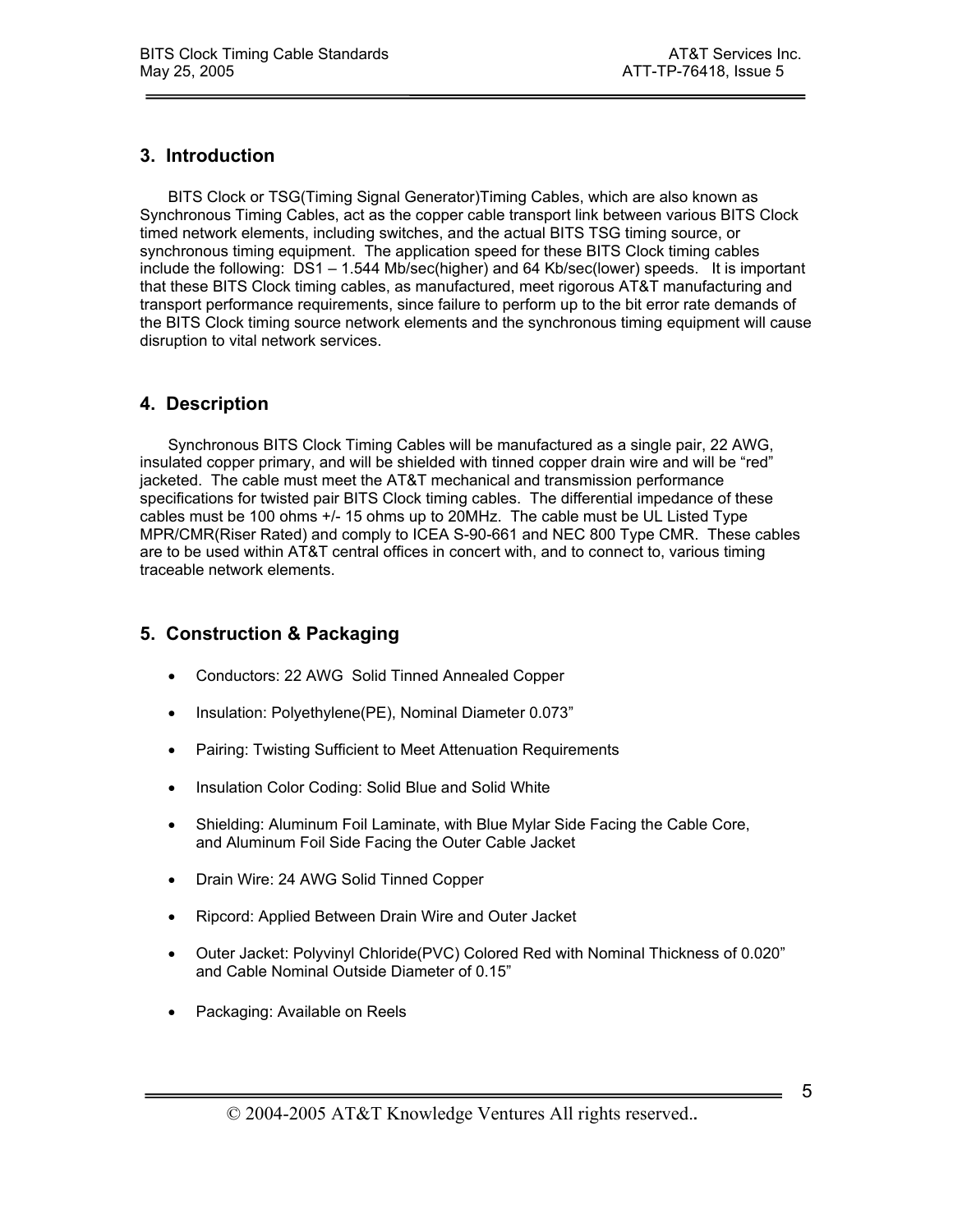#### **3. Introduction**

BITS Clock or TSG(Timing Signal Generator)Timing Cables, which are also known as Synchronous Timing Cables, act as the copper cable transport link between various BITS Clock timed network elements, including switches, and the actual BITS TSG timing source, or synchronous timing equipment. The application speed for these BITS Clock timing cables include the following: DS1 – 1.544 Mb/sec(higher) and 64 Kb/sec(lower) speeds. It is important that these BITS Clock timing cables, as manufactured, meet rigorous AT&T manufacturing and transport performance requirements, since failure to perform up to the bit error rate demands of the BITS Clock timing source network elements and the synchronous timing equipment will cause disruption to vital network services.

# **4. Description**

Synchronous BITS Clock Timing Cables will be manufactured as a single pair, 22 AWG, insulated copper primary, and will be shielded with tinned copper drain wire and will be "red" jacketed. The cable must meet the AT&T mechanical and transmission performance specifications for twisted pair BITS Clock timing cables. The differential impedance of these cables must be 100 ohms +/- 15 ohms up to 20MHz. The cable must be UL Listed Type MPR/CMR(Riser Rated) and comply to ICEA S-90-661 and NEC 800 Type CMR. These cables are to be used within AT&T central offices in concert with, and to connect to, various timing traceable network elements.

#### **5. Construction & Packaging**

- Conductors: 22 AWG Solid Tinned Annealed Copper
- Insulation: Polyethylene(PE), Nominal Diameter 0.073"
- Pairing: Twisting Sufficient to Meet Attenuation Requirements
- Insulation Color Coding: Solid Blue and Solid White
- Shielding: Aluminum Foil Laminate, with Blue Mylar Side Facing the Cable Core, and Aluminum Foil Side Facing the Outer Cable Jacket
- Drain Wire: 24 AWG Solid Tinned Copper
- Ripcord: Applied Between Drain Wire and Outer Jacket
- Outer Jacket: Polyvinyl Chloride(PVC) Colored Red with Nominal Thickness of 0.020" and Cable Nominal Outside Diameter of 0.15"
- Packaging: Available on Reels

5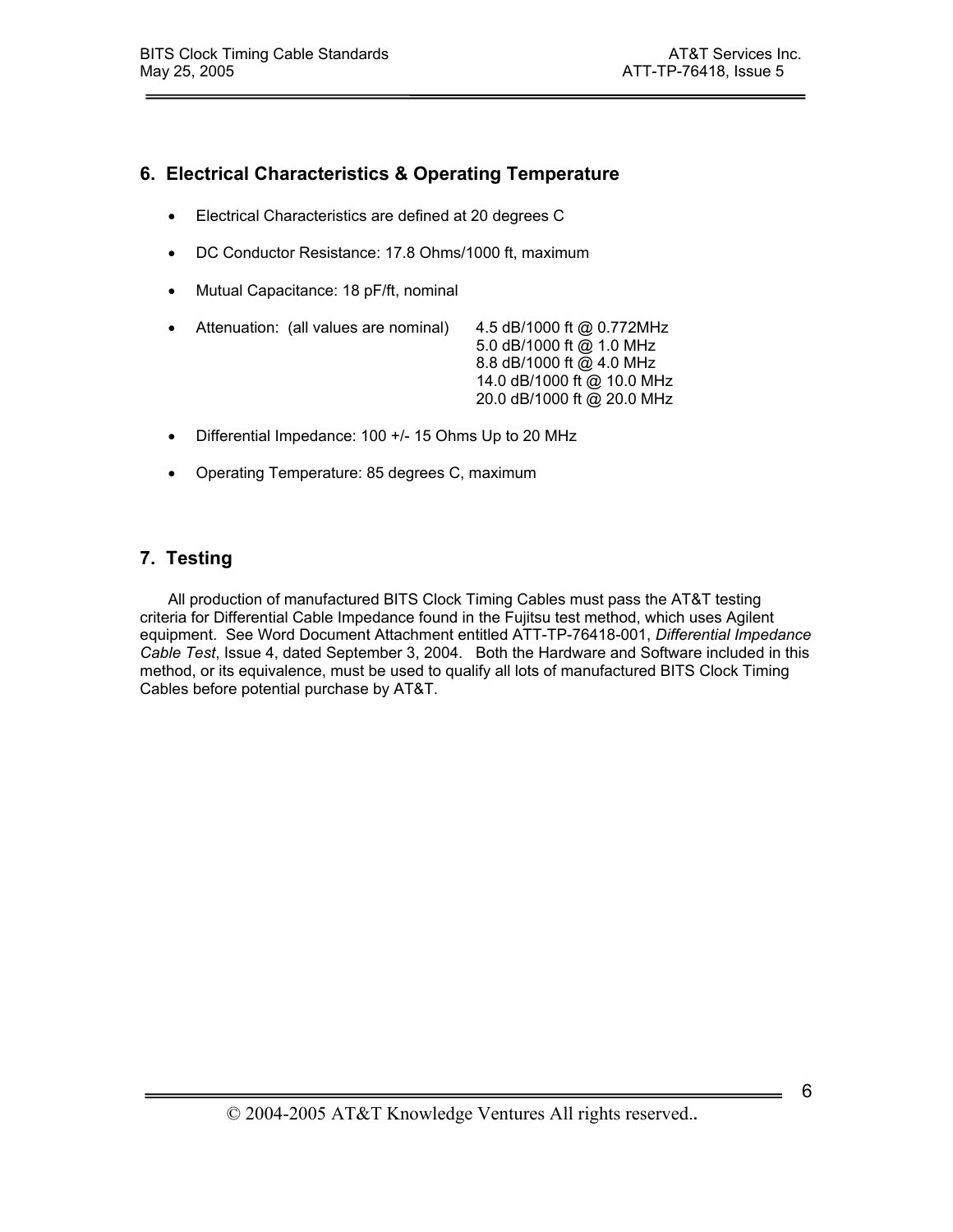# **6. Electrical Characteristics & Operating Temperature**

- Electrical Characteristics are defined at 20 degrees C
- DC Conductor Resistance: 17.8 Ohms/1000 ft, maximum
- Mutual Capacitance: 18 pF/ft, nominal

|  | • Attenuation: (all values are nominal) | 4.5 dB/1000 ft @ 0.772MHz  |
|--|-----------------------------------------|----------------------------|
|  |                                         | 5.0 dB/1000 ft @ 1.0 MHz   |
|  |                                         | 8.8 dB/1000 ft @ 4.0 MHz   |
|  |                                         | 14.0 dB/1000 ft @ 10.0 MHz |
|  |                                         | 20.0 dB/1000 ft @ 20.0 MHz |

- Differential Impedance: 100 +/- 15 Ohms Up to 20 MHz
- Operating Temperature: 85 degrees C, maximum

# **7. Testing**

All production of manufactured BITS Clock Timing Cables must pass the AT&T testing criteria for Differential Cable Impedance found in the Fujitsu test method, which uses Agilent equipment. See Word Document Attachment entitled ATT-TP-76418-001, *Differential Impedance Cable Test*, Issue 4, dated September 3, 2004. Both the Hardware and Software included in this method, or its equivalence, must be used to qualify all lots of manufactured BITS Clock Timing Cables before potential purchase by AT&T.